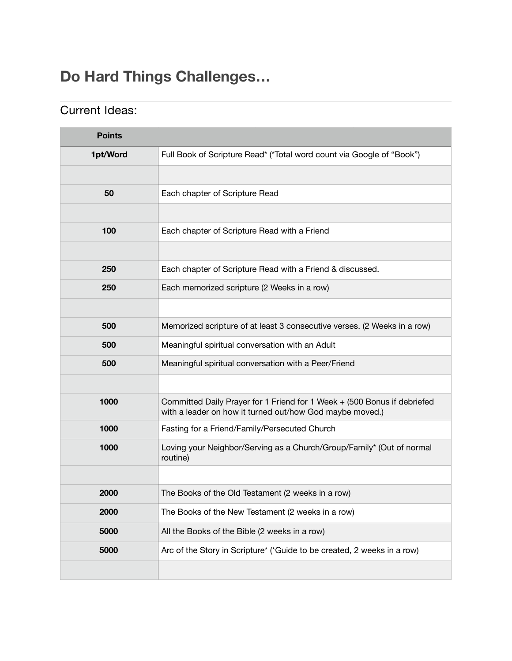## **Do Hard Things Challenges…**

# **Points 1pt/Word** Full Book of Scripture Read\* (\*Total word count via Google of "Book") Each chapter of Scripture Read Each chapter of Scripture Read with a Friend Each chapter of Scripture Read with a Friend & discussed. Each memorized scripture (2 Weeks in a row) Memorized scripture of at least 3 consecutive verses. (2 Weeks in a row) Meaningful spiritual conversation with an Adult Meaningful spiritual conversation with a Peer/Friend Committed Daily Prayer for 1 Friend for 1 Week + (500 Bonus if debriefed with a leader on how it turned out/how God maybe moved.) Fasting for a Friend/Family/Persecuted Church Loving your Neighbor/Serving as a Church/Group/Family\* (Out of normal routine) The Books of the Old Testament (2 weeks in a row) The Books of the New Testament (2 weeks in a row) All the Books of the Bible (2 weeks in a row) **5000** Arc of the Story in Scripture<sup>\*</sup> (\*Guide to be created, 2 weeks in a row)

#### Current Ideas: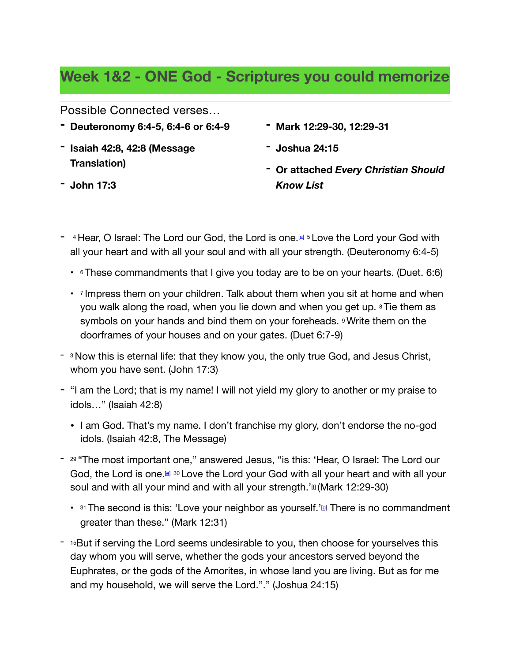## **Week 1&2 - ONE God - Scriptures you could memorize**

Possible Connected verses…

- **- Deuteronomy 6:4-5, 6:4-6 or 6:4-9**
- **- Isaiah 42:8, 42:8 (Message Translation)**
- **- Mark 12:29-30, 12:29-31**
- **- Joshua 24:15**
- **- Or attached** *Every Christian Should Know List*
- $-$  4 He[a](https://www.biblegateway.com/passage/?search=deuteronomy+6&version=MSG;NRSV;NIV;NLT#fen-NIV-5091a)r, O Israel: The Lord our God, the Lord is one.  $[a]$  5 Love the Lord your God with all your heart and with all your soul and with all your strength. (Deuteronomy 6:4-5)
	- <sup>6</sup> These commandments that I give you today are to be on your hearts. (Duet. 6:6)
	- $\cdot$  7 Impress them on your children. Talk about them when you sit at home and when you walk along the road, when you lie down and when you get up. 8 Tie them as symbols on your hands and bind them on your foreheads. *Write them on the* doorframes of your houses and on your gates. (Duet 6:7-9)
- <sup>3</sup> Now this is eternal life: that they know you, the only true God, and Jesus Christ, whom you have sent. (John 17:3)
- "I am the Lord; that is my name! I will not yield my glory to another or my praise to idols…" (Isaiah 42:8)
	- I am God. That's my name. I don't franchise my glory, don't endorse the no-god idols. (Isaiah 42:8, The Message)
- <sup>29</sup> "The most important one," answered Jesus, "is this: 'Hear, O Israel: The Lord our God, th[e](https://www.biblegateway.com/passage/?search=mark+12&version=MSG;NRSV;NIV;NLT#fen-NIV-24703e) Lord is one.<sup>[e] 30</sup> Love the Lord your God with all your heart and with all your soul and with all your mind and with all your strength.' $\text{m}$  (Mark 12:29-30)
	- $\cdot$  31 The second is this: 'Love your neighbor as yourself.' $@$  There is no commandment greater than these." (Mark 12:31)
- <sup>-</sup> <sup>15</sup>But if serving the Lord seems undesirable to you, then choose for yourselves this day whom you will serve, whether the gods your ancestors served beyond the Euphrates, or the gods of the Amorites, in whose land you are living. But as for me and my household, we will serve the Lord."." (Joshua 24:15)

**- John 17:3**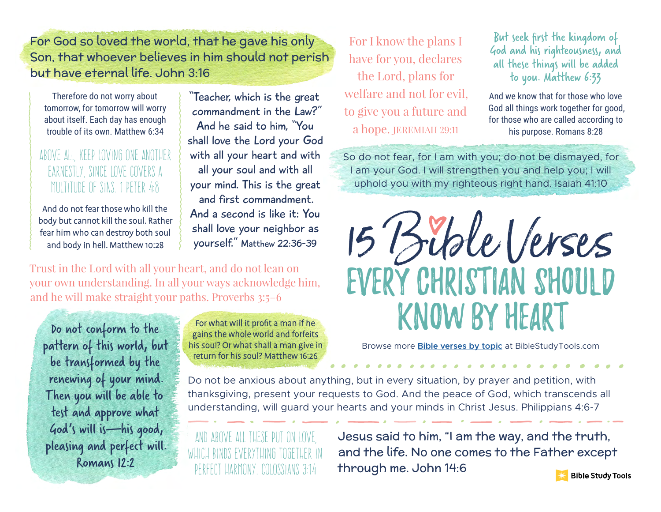For God so loved the world, that he gave his only Son, that whoever believes in him should not perish but have eternal life. John 3:16

Therefore do not worry about tomorrow, for tomorrow will worry about itself. Each day has enough trouble of its own. Matthew 6:34

### Above all, keep loving one another earnestly, since love covers a multitude of sins. 1 Peter 4:8

And do not fear those who kill the body but cannot kill the soul. Rather fear him who can destroy both soul and body in hell. Matthew 10:28

"Teacher, which is the great commandment in the Law?" And he said to him, "You shall love the Lord your God with all your heart and with all your soul and with all your mind. This is the great and first commandment. And a second is like it: You shall love your neighbor as yourself." Matthew 22:36-39

Trust in the Lord with all your heart, and do not lean on your own understanding. In all your ways acknowledge him, and he will make straight your paths. Proverbs 3:5–6

Do not conform to the pattern of this world, but be transformed by the renewing of your mind. Then you will be able to test and approve what God's will is—his good, pleasing and perfect will. Romans 12:2

For what will it profit a man if he gains the whole world and forfeits his soul? Or what shall a man give in return for his soul? Matthew 16:26

For I know the plans I have for you, declares the Lord, plans for welfare and not for evil, to give you a future and a hope. JEREMIAH 29:11

But seek first the kingdom of God and his righteousness, and all these things will be added to you. Matthew 6:33

And we know that for those who love God all things work together for good, for those who are called according to his purpose. Romans 8:28

So do not fear, for I am with you; do not be dismayed, for I am your God. I will strengthen you and help you; I will uphold you with my righteous right hand. Isaiah 41:10



Browse more **Bible verses by topic** at BibleStudyTools.com

Do not be anxious about anything, but in every situation, by prayer and petition, with thanksgiving, present your requests to God. And the peace of God, which transcends all understanding, will guard your hearts and your minds in Christ Jesus. Philippians 4:6-7

And above all these put on love, which binds everything together in perfect harmony. Colossians 3:14

Jesus said to him, "I am the way, and the truth, and the life. No one comes to the Father except through me. John 14:6 **Bible Study Tools**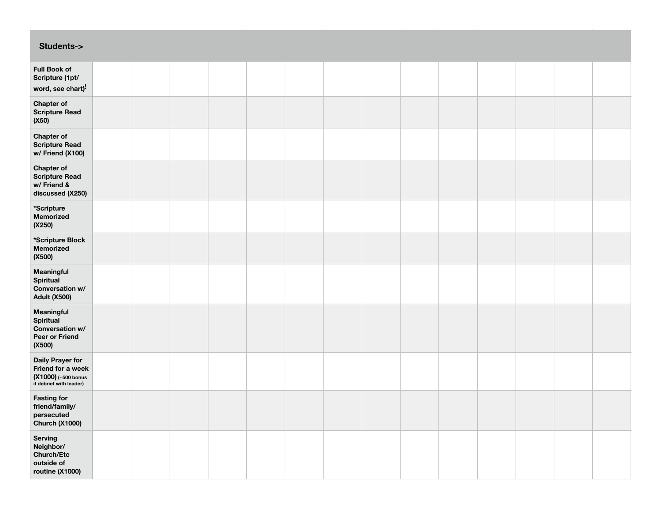| <b>Students-&gt;</b>                                                                             |  |  |  |  |  |  |  |
|--------------------------------------------------------------------------------------------------|--|--|--|--|--|--|--|
| <b>Full Book of</b><br>Scripture (1pt/<br>word, see chart) <sup>!</sup>                          |  |  |  |  |  |  |  |
| <b>Chapter of</b><br><b>Scripture Read</b><br>(X50)                                              |  |  |  |  |  |  |  |
| Chapter of<br><b>Scripture Read</b><br>w/ Friend (X100)                                          |  |  |  |  |  |  |  |
| <b>Chapter of</b><br><b>Scripture Read</b><br>w/ Friend &<br>discussed (X250)                    |  |  |  |  |  |  |  |
| *Scripture<br>Memorized<br>(X250)                                                                |  |  |  |  |  |  |  |
| *Scripture Block<br>Memorized<br>(X500)                                                          |  |  |  |  |  |  |  |
| Meaningful<br><b>Spiritual</b><br>Conversation w/<br><b>Adult (X500)</b>                         |  |  |  |  |  |  |  |
| Meaningful<br><b>Spiritual</b><br>Conversation w/<br>Peer or Friend<br>(X500)                    |  |  |  |  |  |  |  |
| <b>Daily Prayer for</b><br>Friend for a week<br>$(X1000)$ (+500 bonus<br>if debrief with leader) |  |  |  |  |  |  |  |
| <b>Fasting for</b><br>friend/family/<br>persecuted<br>Church (X1000)                             |  |  |  |  |  |  |  |
| Serving<br>Neighbor/<br><b>Church/Etc</b><br>outside of<br>routine (X1000)                       |  |  |  |  |  |  |  |